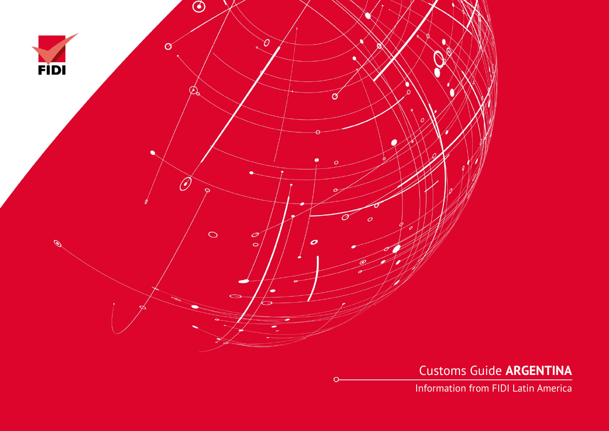

Customs Guide **ARGENTINA**

Information from FIDI Latin America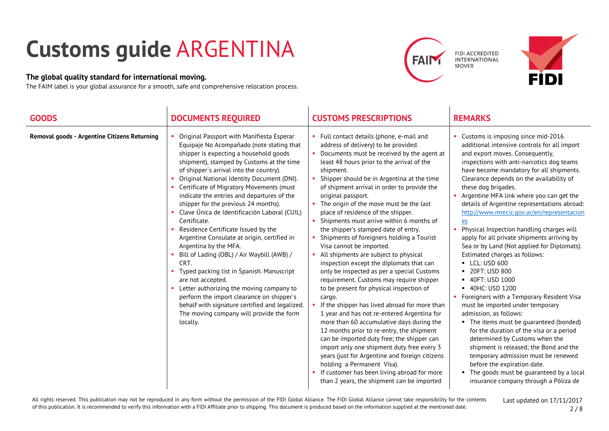## **Customs guide** ARGENTINA

## **The global quality standard for international moving.**

The FAIM label is your global assurance for a smooth, safe and comprehensive relocation process.





| <b>GOODS</b>                                 | <b>DOCUMENTS REQUIRED</b>                                                                                                                                                                                                                                                                                                                                                                                                                                                                                                                                                                                                                                                                                                                                                                                                                                                                                          | <b>CUSTOMS PRESCRIPTIONS</b>                                                                                                                                                                                                                                                                                                                                                                                                                                                                                                                                                                                                                                                                                                                                                                                                                                                                                                                                                                                                                                                                                                                                                                                                                                            | <b>REMARKS</b>                                                                                                                                                                                                                                                                                                                                                                                                                                                                                                                                                                                                                                                                                                                                                                                                                                                                                                                                                                                                                                                                                                                                 |
|----------------------------------------------|--------------------------------------------------------------------------------------------------------------------------------------------------------------------------------------------------------------------------------------------------------------------------------------------------------------------------------------------------------------------------------------------------------------------------------------------------------------------------------------------------------------------------------------------------------------------------------------------------------------------------------------------------------------------------------------------------------------------------------------------------------------------------------------------------------------------------------------------------------------------------------------------------------------------|-------------------------------------------------------------------------------------------------------------------------------------------------------------------------------------------------------------------------------------------------------------------------------------------------------------------------------------------------------------------------------------------------------------------------------------------------------------------------------------------------------------------------------------------------------------------------------------------------------------------------------------------------------------------------------------------------------------------------------------------------------------------------------------------------------------------------------------------------------------------------------------------------------------------------------------------------------------------------------------------------------------------------------------------------------------------------------------------------------------------------------------------------------------------------------------------------------------------------------------------------------------------------|------------------------------------------------------------------------------------------------------------------------------------------------------------------------------------------------------------------------------------------------------------------------------------------------------------------------------------------------------------------------------------------------------------------------------------------------------------------------------------------------------------------------------------------------------------------------------------------------------------------------------------------------------------------------------------------------------------------------------------------------------------------------------------------------------------------------------------------------------------------------------------------------------------------------------------------------------------------------------------------------------------------------------------------------------------------------------------------------------------------------------------------------|
| Removal goods - Argentine Citizens Returning | Original Passport with Manifiesta Esperar<br>Equipaje No Acompañado (note stating that<br>shipper is expecting a household goods<br>shipment), stamped by Customs at the time<br>of shipper's arrival into the country).<br>Original National Identity Document (DNI).<br>Certificate of Migratory Movements (must<br>indicate the entries and departures of the<br>shipper for the previous 24 months).<br>Clave Única de Identificación Laboral (CUIL)<br>Certificate.<br>Residence Certificate Issued by the<br>Argentine Consulate at origin, certified in<br>Argentina by the MFA.<br>Bill of Lading (OBL) / Air Waybill (AWB) /<br>CRT.<br>Typed packing list in Spanish. Manuscript<br>are not accepted.<br>Letter authorizing the moving company to<br>perform the import clearance on shipper's<br>behalf with signature certified and legalized.<br>The moving company will provide the form<br>locally. | Full contact details (phone, e-mail and<br>п.<br>address of delivery) to be provided.<br>Documents must be received by the agent at<br>least 48 hours prior to the arrival of the<br>shipment.<br>Shipper should be in Argentina at the time<br>of shipment arrival in order to provide the<br>original passport.<br>The origin of the move must be the last<br>place of residence of the shipper.<br>Shipments must arrive within 6 months of<br>the shipper's stamped date of entry.<br>Shipments of foreigners holding a Tourist<br>Visa cannot be imported.<br>All shipments are subject to physical<br>inspection except the diplomats that can<br>only be inspected as per a special Customs<br>requirement. Customs may require shipper<br>to be present for physical inspection of<br>cargo.<br>If the shipper has lived abroad for more than<br>1 year and has not re-entered Argentina for<br>more than 60 accumulative days during the<br>12 months prior to re-entry, the shipment<br>can be imported duty free; the shipper can<br>import only one shipment duty free every 3<br>years (just for Argentine and foreign citizens<br>holding a Permanent Visa).<br>If customer has been living abroad for more<br>than 2 years, the shipment can be imported | • Customs is imposing since mid-2016<br>additional intensive controls for all import<br>and export moves. Consequently,<br>inspections with anti-narcotics dog teams<br>have become mandatory for all shipments.<br>Clearance depends on the availability of<br>these dog brigades.<br>Argentine MFA link where you can get the<br>details of Argentine representations abroad:<br>http://www.mrecic.gov.ar/en/representacion<br>$e$<br>Physical Inspection handling charges will<br>apply for all private shipments arriving by<br>Sea or by Land (Not applied for Diplomats).<br>Estimated charges as follows:<br><b>-</b> LCL: USD 600<br>■ 20FT: USD 800<br>■ 40FT: USD 1000<br>■ 40HC: USD 1200<br>Foreigners with a Temporary Resident Visa<br>must be imported under temporary<br>admission, as follows:<br>• The items must be guaranteed (bonded)<br>for the duration of the visa or a period<br>determined by Customs when the<br>shipment is released; the Bond and the<br>temporary admission must be renewed<br>before the expiration date.<br>• The goods must be quaranteed by a local<br>insurance company through a Póliza de |

All rights reserved. This publication may not be reproduced in any form without the permission of the FIDI Global Alliance. The FIDI Global Alliance cannot take responsibility for the contents of this publication. It is recommended to verify this information with a FIDI Affiliate prior to shipping. This document is produced based on the information supplied at the mentioned date.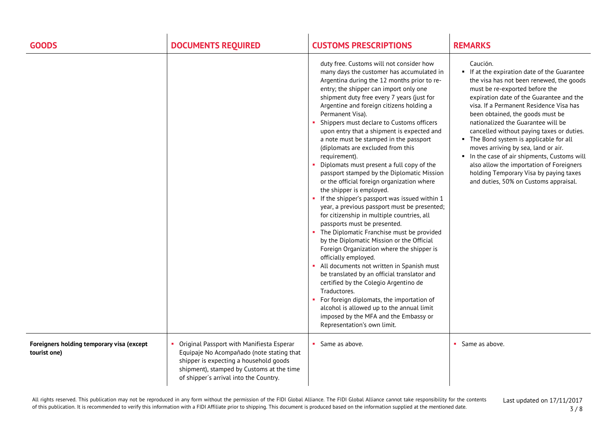| <b>GOODS</b>                                              | <b>DOCUMENTS REQUIRED</b>                                                                                                                                                                                               | <b>CUSTOMS PRESCRIPTIONS</b>                                                                                                                                                                                                                                                                                                                                                                                                                                                                                                                                                                                                                                                                                                                                                                                                                                                                                                                                                                                                                                                                                                                                                                                                                                                                                                          | <b>REMARKS</b>                                                                                                                                                                                                                                                                                                                                                                                                                                                                                                                                                                                                    |
|-----------------------------------------------------------|-------------------------------------------------------------------------------------------------------------------------------------------------------------------------------------------------------------------------|---------------------------------------------------------------------------------------------------------------------------------------------------------------------------------------------------------------------------------------------------------------------------------------------------------------------------------------------------------------------------------------------------------------------------------------------------------------------------------------------------------------------------------------------------------------------------------------------------------------------------------------------------------------------------------------------------------------------------------------------------------------------------------------------------------------------------------------------------------------------------------------------------------------------------------------------------------------------------------------------------------------------------------------------------------------------------------------------------------------------------------------------------------------------------------------------------------------------------------------------------------------------------------------------------------------------------------------|-------------------------------------------------------------------------------------------------------------------------------------------------------------------------------------------------------------------------------------------------------------------------------------------------------------------------------------------------------------------------------------------------------------------------------------------------------------------------------------------------------------------------------------------------------------------------------------------------------------------|
|                                                           |                                                                                                                                                                                                                         | duty free. Customs will not consider how<br>many days the customer has accumulated in<br>Argentina during the 12 months prior to re-<br>entry; the shipper can import only one<br>shipment duty free every 7 years (just for<br>Argentine and foreign citizens holding a<br>Permanent Visa).<br>Shippers must declare to Customs officers<br>upon entry that a shipment is expected and<br>a note must be stamped in the passport<br>(diplomats are excluded from this<br>requirement).<br>Diplomats must present a full copy of the<br>passport stamped by the Diplomatic Mission<br>or the official foreign organization where<br>the shipper is employed.<br>• If the shipper's passport was issued within 1<br>year, a previous passport must be presented;<br>for citizenship in multiple countries, all<br>passports must be presented.<br>• The Diplomatic Franchise must be provided<br>by the Diplomatic Mission or the Official<br>Foreign Organization where the shipper is<br>officially employed.<br>All documents not written in Spanish must<br>be translated by an official translator and<br>certified by the Colegio Argentino de<br>Traductores.<br>For foreign diplomats, the importation of<br>alcohol is allowed up to the annual limit<br>imposed by the MFA and the Embassy or<br>Representation's own limit. | Caución.<br>If at the expiration date of the Guarantee<br>the visa has not been renewed, the goods<br>must be re-exported before the<br>expiration date of the Guarantee and the<br>visa. If a Permanent Residence Visa has<br>been obtained, the goods must be<br>nationalized the Guarantee will be<br>cancelled without paying taxes or duties.<br>• The Bond system is applicable for all<br>moves arriving by sea, land or air.<br>In the case of air shipments, Customs will<br>also allow the importation of Foreigners<br>holding Temporary Visa by paying taxes<br>and duties, 50% on Customs appraisal. |
| Foreigners holding temporary visa (except<br>tourist one) | Original Passport with Manifiesta Esperar<br>Equipaje No Acompañado (note stating that<br>shipper is expecting a household goods<br>shipment), stamped by Customs at the time<br>of shipper's arrival into the Country. | Same as above.                                                                                                                                                                                                                                                                                                                                                                                                                                                                                                                                                                                                                                                                                                                                                                                                                                                                                                                                                                                                                                                                                                                                                                                                                                                                                                                        | • Same as above.                                                                                                                                                                                                                                                                                                                                                                                                                                                                                                                                                                                                  |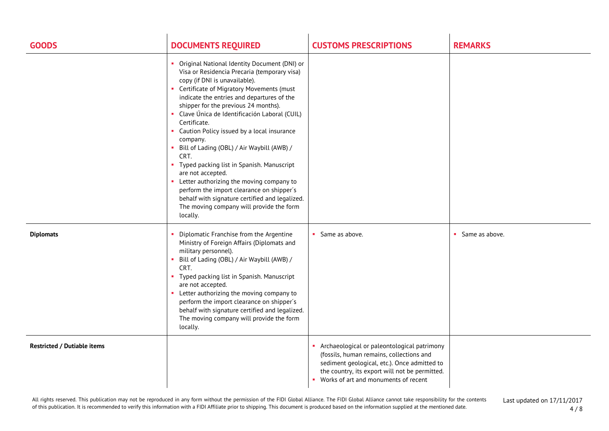| <b>GOODS</b>                       | <b>DOCUMENTS REQUIRED</b>                                                                                                                                                                                                                                                                                                                                                                                                                                                                                                                                                                                                                                                                                                  | <b>CUSTOMS PRESCRIPTIONS</b>                                                                                                                                                                                                        | <b>REMARKS</b>   |
|------------------------------------|----------------------------------------------------------------------------------------------------------------------------------------------------------------------------------------------------------------------------------------------------------------------------------------------------------------------------------------------------------------------------------------------------------------------------------------------------------------------------------------------------------------------------------------------------------------------------------------------------------------------------------------------------------------------------------------------------------------------------|-------------------------------------------------------------------------------------------------------------------------------------------------------------------------------------------------------------------------------------|------------------|
|                                    | Original National Identity Document (DNI) or<br>Visa or Residencia Precaria (temporary visa)<br>copy (if DNI is unavailable).<br>• Certificate of Migratory Movements (must<br>indicate the entries and departures of the<br>shipper for the previous 24 months).<br>• Clave Única de Identificación Laboral (CUIL)<br>Certificate.<br>Caution Policy issued by a local insurance<br>company.<br>Bill of Lading (OBL) / Air Waybill (AWB) /<br>CRT.<br>Typed packing list in Spanish. Manuscript<br>are not accepted.<br>• Letter authorizing the moving company to<br>perform the import clearance on shipper's<br>behalf with signature certified and legalized.<br>The moving company will provide the form<br>locally. |                                                                                                                                                                                                                                     |                  |
| <b>Diplomats</b>                   | Diplomatic Franchise from the Argentine<br>Ministry of Foreign Affairs (Diplomats and<br>military personnel).<br>Bill of Lading (OBL) / Air Waybill (AWB) /<br>CRT.<br>• Typed packing list in Spanish. Manuscript<br>are not accepted.<br>• Letter authorizing the moving company to<br>perform the import clearance on shipper's<br>behalf with signature certified and legalized.<br>The moving company will provide the form<br>locally.                                                                                                                                                                                                                                                                               | Same as above.                                                                                                                                                                                                                      | • Same as above. |
| <b>Restricted / Dutiable items</b> |                                                                                                                                                                                                                                                                                                                                                                                                                                                                                                                                                                                                                                                                                                                            | Archaeological or paleontological patrimony<br>(fossils, human remains, collections and<br>sediment geological, etc.). Once admitted to<br>the country, its export will not be permitted.<br>• Works of art and monuments of recent |                  |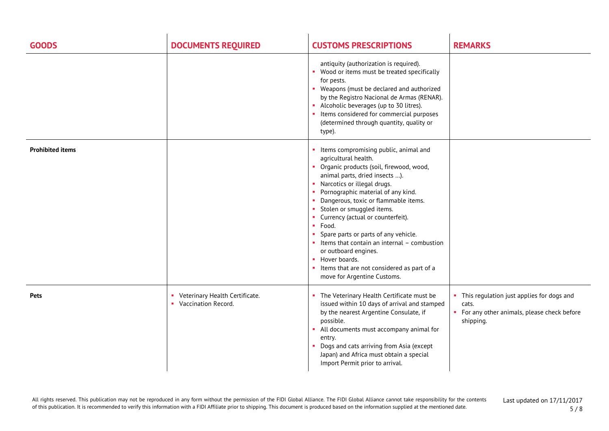| <b>GOODS</b>            | <b>DOCUMENTS REQUIRED</b>                                 | <b>CUSTOMS PRESCRIPTIONS</b>                                                                                                                                                                                                                                                                                                                                                                                                                                                                                                                                | <b>REMARKS</b>                                                                                                    |
|-------------------------|-----------------------------------------------------------|-------------------------------------------------------------------------------------------------------------------------------------------------------------------------------------------------------------------------------------------------------------------------------------------------------------------------------------------------------------------------------------------------------------------------------------------------------------------------------------------------------------------------------------------------------------|-------------------------------------------------------------------------------------------------------------------|
|                         |                                                           | antiquity (authorization is required).<br>Wood or items must be treated specifically<br>for pests.<br>• Weapons (must be declared and authorized<br>by the Registro Nacional de Armas (RENAR).<br>• Alcoholic beverages (up to 30 litres).<br>Items considered for commercial purposes<br>(determined through quantity, quality or<br>type).                                                                                                                                                                                                                |                                                                                                                   |
| <b>Prohibited items</b> |                                                           | • Items compromising public, animal and<br>agricultural health.<br>• Organic products (soil, firewood, wood,<br>animal parts, dried insects ).<br>• Narcotics or illegal drugs.<br>Pornographic material of any kind.<br>Dangerous, toxic or flammable items.<br>• Stolen or smuggled items.<br>Currency (actual or counterfeit).<br>· Food.<br>Spare parts or parts of any vehicle.<br>Items that contain an internal - combustion<br>or outboard engines.<br>• Hover boards.<br>Items that are not considered as part of a<br>move for Argentine Customs. |                                                                                                                   |
| <b>Pets</b>             | • Veterinary Health Certificate.<br>• Vaccination Record. | The Veterinary Health Certificate must be<br>issued within 10 days of arrival and stamped<br>by the nearest Argentine Consulate, if<br>possible.<br>All documents must accompany animal for<br>entry.<br>Dogs and cats arriving from Asia (except<br>Japan) and Africa must obtain a special<br>Import Permit prior to arrival.                                                                                                                                                                                                                             | • This regulation just applies for dogs and<br>cats.<br>• For any other animals, please check before<br>shipping. |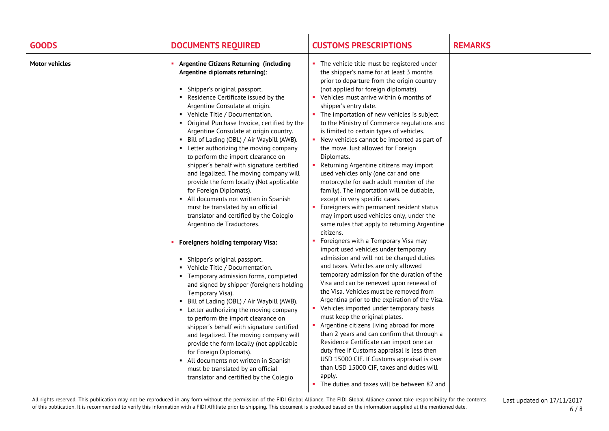| <b>GOODS</b>          | <b>DOCUMENTS REQUIRED</b>                                                                                                                                                                                                                                                                                                                                                                                                                                                                                                                                                                                                                                                                                                                                                        | <b>CUSTOMS PRESCRIPTIONS</b>                                                                                                                                                                                                                                                                                                                                                                                                                                                                                                                                                                                                                                                                                                                                                                                                                                         | <b>REMARKS</b> |
|-----------------------|----------------------------------------------------------------------------------------------------------------------------------------------------------------------------------------------------------------------------------------------------------------------------------------------------------------------------------------------------------------------------------------------------------------------------------------------------------------------------------------------------------------------------------------------------------------------------------------------------------------------------------------------------------------------------------------------------------------------------------------------------------------------------------|----------------------------------------------------------------------------------------------------------------------------------------------------------------------------------------------------------------------------------------------------------------------------------------------------------------------------------------------------------------------------------------------------------------------------------------------------------------------------------------------------------------------------------------------------------------------------------------------------------------------------------------------------------------------------------------------------------------------------------------------------------------------------------------------------------------------------------------------------------------------|----------------|
| <b>Motor vehicles</b> | <b>Argentine Citizens Returning (including</b><br>Argentine diplomats returning):<br>• Shipper's original passport.<br>Residence Certificate issued by the<br>Argentine Consulate at origin.<br>• Vehicle Title / Documentation.<br>• Original Purchase Invoice, certified by the<br>Argentine Consulate at origin country.<br>• Bill of Lading (OBL) / Air Waybill (AWB).<br>• Letter authorizing the moving company<br>to perform the import clearance on<br>shipper's behalf with signature certified<br>and legalized. The moving company will<br>provide the form locally (Not applicable<br>for Foreign Diplomats).<br>• All documents not written in Spanish<br>must be translated by an official<br>translator and certified by the Colegio<br>Argentino de Traductores. | • The vehicle title must be registered under<br>the shipper's name for at least 3 months<br>prior to departure from the origin country<br>(not applied for foreign diplomats).<br>• Vehicles must arrive within 6 months of<br>shipper's entry date.<br>The importation of new vehicles is subject<br>to the Ministry of Commerce regulations and<br>is limited to certain types of vehicles.<br>• New vehicles cannot be imported as part of<br>the move. Just allowed for Foreign<br>Diplomats.<br>Returning Argentine citizens may import<br>used vehicles only (one car and one<br>motorcycle for each adult member of the<br>family). The importation will be dutiable,<br>except in very specific cases.<br>Foreigners with permanent resident status<br>may import used vehicles only, under the<br>same rules that apply to returning Argentine<br>citizens. |                |
|                       | <b>Foreigners holding temporary Visa:</b><br>• Shipper's original passport.<br>• Vehicle Title / Documentation.<br>• Temporary admission forms, completed<br>and signed by shipper (foreigners holding<br>Temporary Visa).<br>• Bill of Lading (OBL) / Air Waybill (AWB).<br>• Letter authorizing the moving company<br>to perform the import clearance on<br>shipper's behalf with signature certified<br>and legalized. The moving company will<br>provide the form locally (not applicable<br>for Foreign Diplomats).<br>• All documents not written in Spanish<br>must be translated by an official<br>translator and certified by the Colegio                                                                                                                               | Foreigners with a Temporary Visa may<br>import used vehicles under temporary<br>admission and will not be charged duties<br>and taxes. Vehicles are only allowed<br>temporary admission for the duration of the<br>Visa and can be renewed upon renewal of<br>the Visa. Vehicles must be removed from<br>Argentina prior to the expiration of the Visa.<br>Vehicles imported under temporary basis<br>must keep the original plates.<br>Argentine citizens living abroad for more<br>than 2 years and can confirm that through a<br>Residence Certificate can import one car<br>duty free if Customs appraisal is less then<br>USD 15000 CIF. If Customs appraisal is over<br>than USD 15000 CIF, taxes and duties will<br>apply.<br>The duties and taxes will be between 82 and                                                                                     |                |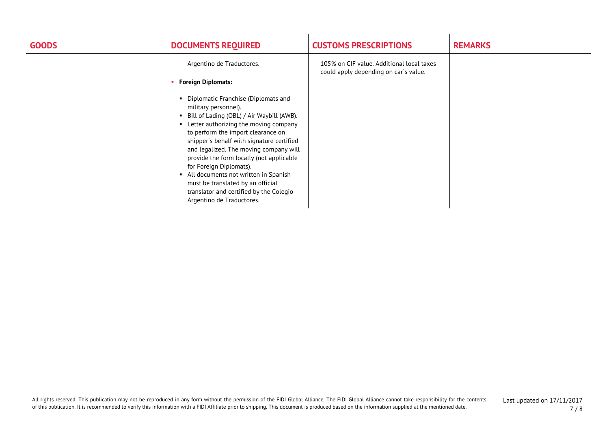| <b>GOODS</b> | <b>DOCUMENTS REQUIRED</b>                                                                                                                                                                                                                                                                                                                                                                                                                                                                                          | <b>CUSTOMS PRESCRIPTIONS</b>                                                       | <b>REMARKS</b> |
|--------------|--------------------------------------------------------------------------------------------------------------------------------------------------------------------------------------------------------------------------------------------------------------------------------------------------------------------------------------------------------------------------------------------------------------------------------------------------------------------------------------------------------------------|------------------------------------------------------------------------------------|----------------|
|              | Argentino de Traductores.                                                                                                                                                                                                                                                                                                                                                                                                                                                                                          | 105% on CIF value. Additional local taxes<br>could apply depending on car's value. |                |
|              | <b>Foreign Diplomats:</b>                                                                                                                                                                                                                                                                                                                                                                                                                                                                                          |                                                                                    |                |
|              | • Diplomatic Franchise (Diplomats and<br>military personnel).<br>• Bill of Lading (OBL) / Air Waybill (AWB).<br>• Letter authorizing the moving company<br>to perform the import clearance on<br>shipper's behalf with signature certified<br>and legalized. The moving company will<br>provide the form locally (not applicable<br>for Foreign Diplomats).<br>• All documents not written in Spanish<br>must be translated by an official<br>translator and certified by the Colegio<br>Argentino de Traductores. |                                                                                    |                |